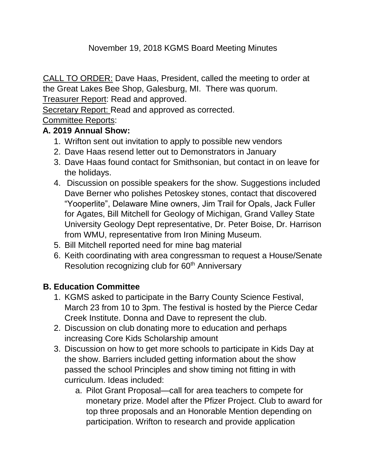### November 19, 2018 KGMS Board Meeting Minutes

CALL TO ORDER: Dave Haas, President, called the meeting to order at the Great Lakes Bee Shop, Galesburg, MI. There was quorum.

Treasurer Report: Read and approved.

Secretary Report: Read and approved as corrected.

## Committee Reports:

#### **A. 2019 Annual Show:**

- 1. Wrifton sent out invitation to apply to possible new vendors
- 2. Dave Haas resend letter out to Demonstrators in January
- 3. Dave Haas found contact for Smithsonian, but contact in on leave for the holidays.
- 4. Discussion on possible speakers for the show. Suggestions included Dave Berner who polishes Petoskey stones, contact that discovered "Yooperlite", Delaware Mine owners, Jim Trail for Opals, Jack Fuller for Agates, Bill Mitchell for Geology of Michigan, Grand Valley State University Geology Dept representative, Dr. Peter Boise, Dr. Harrison from WMU, representative from Iron Mining Museum.
- 5. Bill Mitchell reported need for mine bag material
- 6. Keith coordinating with area congressman to request a House/Senate Resolution recognizing club for 60<sup>th</sup> Anniversary

## **B. Education Committee**

- 1. KGMS asked to participate in the Barry County Science Festival, March 23 from 10 to 3pm. The festival is hosted by the Pierce Cedar Creek Institute. Donna and Dave to represent the club.
- 2. Discussion on club donating more to education and perhaps increasing Core Kids Scholarship amount
- 3. Discussion on how to get more schools to participate in Kids Day at the show. Barriers included getting information about the show passed the school Principles and show timing not fitting in with curriculum. Ideas included:
	- a. Pilot Grant Proposal—call for area teachers to compete for monetary prize. Model after the Pfizer Project. Club to award for top three proposals and an Honorable Mention depending on participation. Wrifton to research and provide application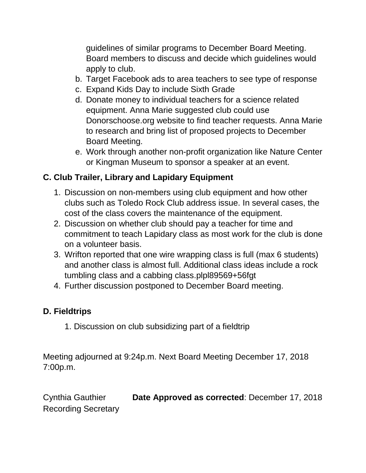guidelines of similar programs to December Board Meeting. Board members to discuss and decide which guidelines would apply to club.

- b. Target Facebook ads to area teachers to see type of response
- c. Expand Kids Day to include Sixth Grade
- d. Donate money to individual teachers for a science related equipment. Anna Marie suggested club could use Donorschoose.org website to find teacher requests. Anna Marie to research and bring list of proposed projects to December Board Meeting.
- e. Work through another non-profit organization like Nature Center or Kingman Museum to sponsor a speaker at an event.

# **C. Club Trailer, Library and Lapidary Equipment**

- 1. Discussion on non-members using club equipment and how other clubs such as Toledo Rock Club address issue. In several cases, the cost of the class covers the maintenance of the equipment.
- 2. Discussion on whether club should pay a teacher for time and commitment to teach Lapidary class as most work for the club is done on a volunteer basis.
- 3. Wrifton reported that one wire wrapping class is full (max 6 students) and another class is almost full. Additional class ideas include a rock tumbling class and a cabbing class.plpl89569+56fgt
- 4. Further discussion postponed to December Board meeting.

#### **D. Fieldtrips**

1. Discussion on club subsidizing part of a fieldtrip

Meeting adjourned at 9:24p.m. Next Board Meeting December 17, 2018 7:00p.m.

Cynthia Gauthier **Date Approved as corrected**: December 17, 2018 Recording Secretary